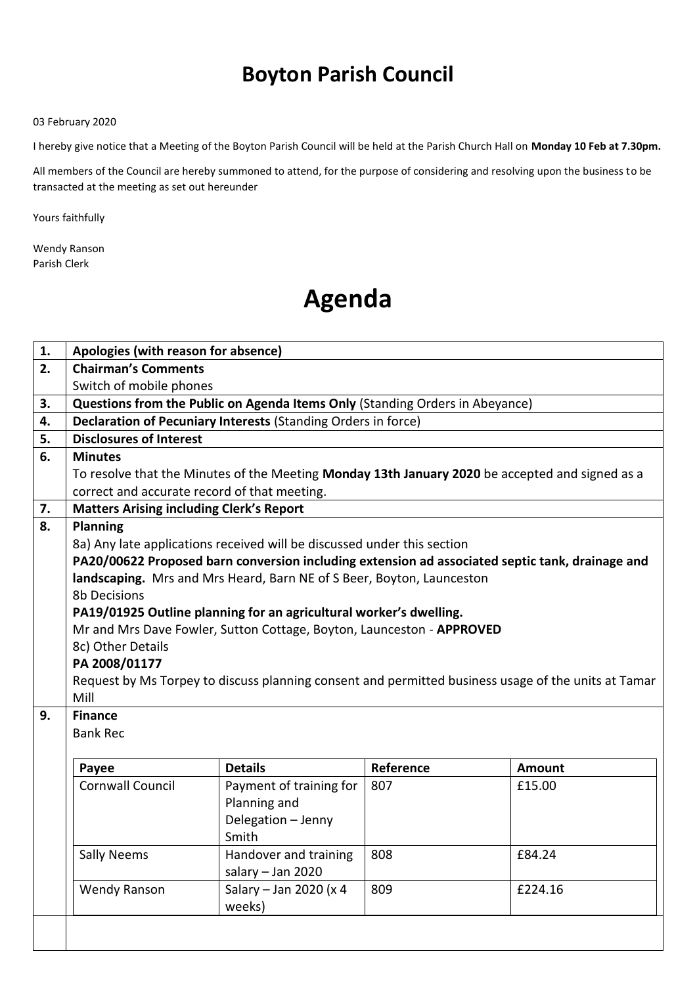## **Boyton Parish Council**

## 03 February 2020

I hereby give notice that a Meeting of the Boyton Parish Council will be held at the Parish Church Hall on **Monday 10 Feb at 7.30pm.** 

All members of the Council are hereby summoned to attend, for the purpose of considering and resolving upon the business to be transacted at the meeting as set out hereunder

Yours faithfully

Wendy Ranson Parish Clerk

## **Agenda**

| 1. | Apologies (with reason for absence)                                                                 |                         |           |         |  |
|----|-----------------------------------------------------------------------------------------------------|-------------------------|-----------|---------|--|
| 2. | <b>Chairman's Comments</b>                                                                          |                         |           |         |  |
|    | Switch of mobile phones                                                                             |                         |           |         |  |
| 3. | Questions from the Public on Agenda Items Only (Standing Orders in Abeyance)                        |                         |           |         |  |
| 4. | Declaration of Pecuniary Interests (Standing Orders in force)                                       |                         |           |         |  |
| 5. | <b>Disclosures of Interest</b>                                                                      |                         |           |         |  |
| 6. | <b>Minutes</b>                                                                                      |                         |           |         |  |
|    | To resolve that the Minutes of the Meeting Monday 13th January 2020 be accepted and signed as a     |                         |           |         |  |
|    | correct and accurate record of that meeting.                                                        |                         |           |         |  |
| 7. | <b>Matters Arising including Clerk's Report</b>                                                     |                         |           |         |  |
| 8. | <b>Planning</b>                                                                                     |                         |           |         |  |
|    | 8a) Any late applications received will be discussed under this section                             |                         |           |         |  |
|    | PA20/00622 Proposed barn conversion including extension ad associated septic tank, drainage and     |                         |           |         |  |
|    | landscaping. Mrs and Mrs Heard, Barn NE of S Beer, Boyton, Launceston                               |                         |           |         |  |
|    | <b>8b Decisions</b>                                                                                 |                         |           |         |  |
|    | PA19/01925 Outline planning for an agricultural worker's dwelling.                                  |                         |           |         |  |
|    | Mr and Mrs Dave Fowler, Sutton Cottage, Boyton, Launceston - APPROVED                               |                         |           |         |  |
|    | 8c) Other Details                                                                                   |                         |           |         |  |
|    | PA 2008/01177                                                                                       |                         |           |         |  |
|    | Request by Ms Torpey to discuss planning consent and permitted business usage of the units at Tamar |                         |           |         |  |
|    | Mill                                                                                                |                         |           |         |  |
| 9. | <b>Finance</b>                                                                                      |                         |           |         |  |
|    | <b>Bank Rec</b>                                                                                     |                         |           |         |  |
|    |                                                                                                     |                         |           |         |  |
|    | Payee                                                                                               | <b>Details</b>          | Reference | Amount  |  |
|    | <b>Cornwall Council</b>                                                                             | Payment of training for | 807       | £15.00  |  |
|    |                                                                                                     | Planning and            |           |         |  |
|    |                                                                                                     | Delegation - Jenny      |           |         |  |
|    |                                                                                                     | Smith                   |           |         |  |
|    | <b>Sally Neems</b>                                                                                  | Handover and training   | 808       | £84.24  |  |
|    |                                                                                                     | salary $-$ Jan 2020     |           |         |  |
|    | <b>Wendy Ranson</b>                                                                                 | Salary - Jan 2020 (x 4  | 809       | £224.16 |  |
|    |                                                                                                     | weeks)                  |           |         |  |
|    |                                                                                                     |                         |           |         |  |
|    |                                                                                                     |                         |           |         |  |